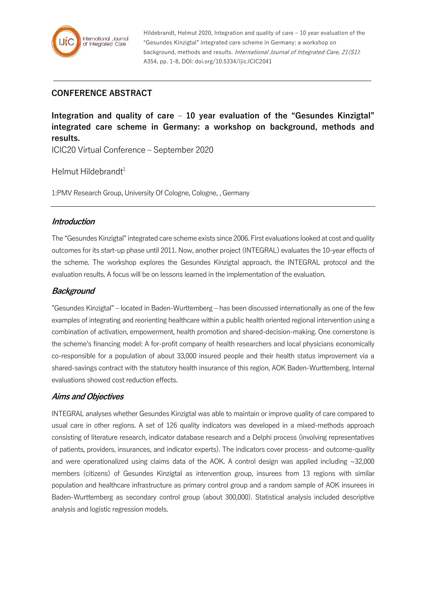

Hildebrandt, Helmut 2020, Integration and quality of care – 10 year evaluation of the "Gesundes Kinzigtal" integrated care scheme in Germany: a workshop on background, methods and results. International Journal of Integrated Care, 21(S1): A354, pp. 1-8, DOI: doi.org/10.5334/ijic.ICIC2041

### **CONFERENCE ABSTRACT**

**Integration and quality of care – 10 year evaluation of the "Gesundes Kinzigtal" integrated care scheme in Germany: a workshop on background, methods and results.**

ICIC20 Virtual Conference – September 2020

Helmut Hildebrandt<sup>1</sup>

1:PMV Research Group, University Of Cologne, Cologne, , Germany

#### **Introduction**

The "Gesundes Kinzigtal" integrated care scheme exists since 2006. First evaluations looked at cost and quality outcomes for its start-up phase until 2011. Now, another project (INTEGRAL) evaluates the 10-year effects of the scheme. The workshop explores the Gesundes Kinzigtal approach, the INTEGRAL protocol and the evaluation results. A focus will be on lessons learned in the implementation of the evaluation.

### **Background**

"Gesundes Kinzigtal" – located in Baden-Wurttemberg – has been discussed internationally as one of the few examples of integrating and reorienting healthcare within a public health oriented regional intervention using a combination of activation, empowerment, health promotion and shared-decision-making. One cornerstone is the scheme's financing model: A for-profit company of health researchers and local physicians economically co-responsible for a population of about 33,000 insured people and their health status improvement via a shared-savings contract with the statutory health insurance of this region, AOK Baden-Wurttemberg. Internal evaluations showed cost reduction effects.

#### **Aims and Objectives**

INTEGRAL analyses whether Gesundes Kinzigtal was able to maintain or improve quality of care compared to usual care in other regions. A set of 126 quality indicators was developed in a mixed-methods approach consisting of literature research, indicator database research and a Delphi process (involving representatives of patients, providers, insurances, and indicator experts). The indicators cover process- and outcome-quality and were operationalized using claims data of the AOK. A control design was applied including  $\sim$ 32,000 members (citizens) of Gesundes Kinzigtal as intervention group, insurees from 13 regions with similar population and healthcare infrastructure as primary control group and a random sample of AOK insurees in Baden-Wurttemberg as secondary control group (about 300,000). Statistical analysis included descriptive analysis and logistic regression models.